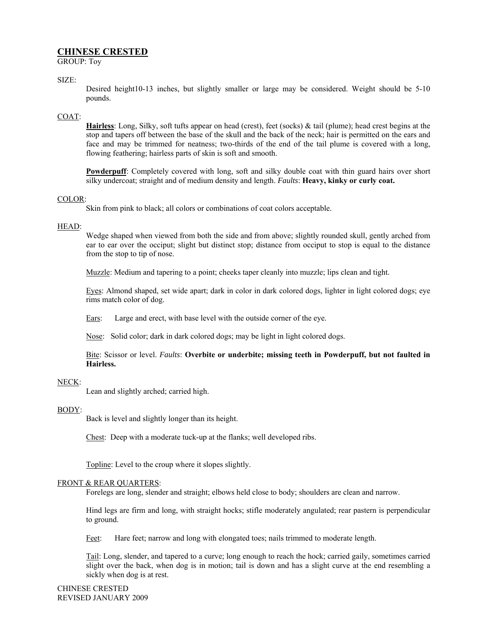# **CHINESE CRESTED**

GROUP: Toy

## SIZE:

Desired height10-13 inches, but slightly smaller or large may be considered. Weight should be 5-10 pounds.

#### COAT:

**Hairless**: Long, Silky, soft tufts appear on head (crest), feet (socks) & tail (plume); head crest begins at the stop and tapers off between the base of the skull and the back of the neck; hair is permitted on the ears and face and may be trimmed for neatness; two-thirds of the end of the tail plume is covered with a long, flowing feathering; hairless parts of skin is soft and smooth.

**Powderpuff**: Completely covered with long, soft and silky double coat with thin guard hairs over short silky undercoat; straight and of medium density and length. *Faults*: **Heavy, kinky or curly coat.** 

#### COLOR:

Skin from pink to black; all colors or combinations of coat colors acceptable.

## HEAD:

Wedge shaped when viewed from both the side and from above; slightly rounded skull, gently arched from ear to ear over the occiput; slight but distinct stop; distance from occiput to stop is equal to the distance from the stop to tip of nose.

Muzzle: Medium and tapering to a point; cheeks taper cleanly into muzzle; lips clean and tight.

Eyes: Almond shaped, set wide apart; dark in color in dark colored dogs, lighter in light colored dogs; eye rims match color of dog.

Ears: Large and erect, with base level with the outside corner of the eye.

Nose: Solid color; dark in dark colored dogs; may be light in light colored dogs.

Bite: Scissor or level. *Faults*: **Overbite or underbite; missing teeth in Powderpuff, but not faulted in Hairless.** 

## NECK:

Lean and slightly arched; carried high.

#### BODY:

Back is level and slightly longer than its height.

Chest: Deep with a moderate tuck-up at the flanks; well developed ribs.

Topline: Level to the croup where it slopes slightly.

#### FRONT & REAR QUARTERS:

Forelegs are long, slender and straight; elbows held close to body; shoulders are clean and narrow.

Hind legs are firm and long, with straight hocks; stifle moderately angulated; rear pastern is perpendicular to ground.

Feet: Hare feet; narrow and long with elongated toes; nails trimmed to moderate length.

Tail: Long, slender, and tapered to a curve; long enough to reach the hock; carried gaily, sometimes carried slight over the back, when dog is in motion; tail is down and has a slight curve at the end resembling a sickly when dog is at rest.

CHINESE CRESTED REVISED JANUARY 2009